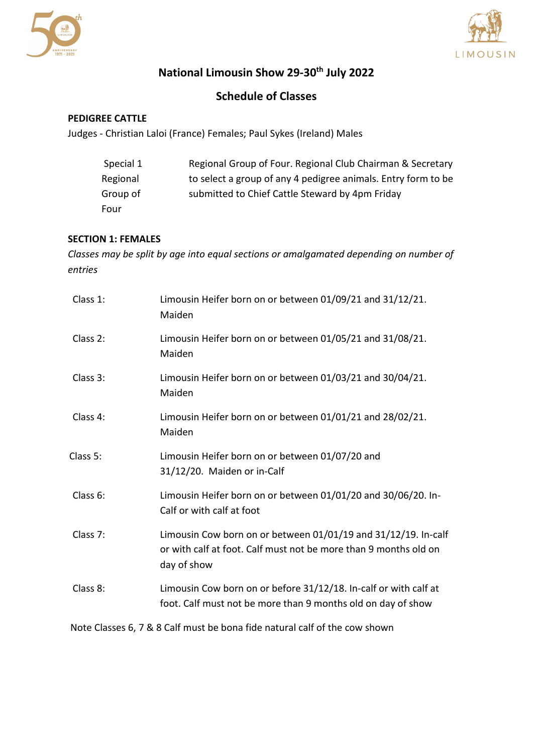



# **National Limousin Show 29-30th July 2022**

# **Schedule of Classes**

## **PEDIGREE CATTLE**

Judges - Christian Laloi (France) Females; Paul Sykes (Ireland) Males

| Special 1 | Regional Group of Four. Regional Club Chairman & Secretary    |
|-----------|---------------------------------------------------------------|
| Regional  | to select a group of any 4 pedigree animals. Entry form to be |
| Group of  | submitted to Chief Cattle Steward by 4pm Friday               |
| Four      |                                                               |

#### **SECTION 1: FEMALES**

*Classes may be split by age into equal sections or amalgamated depending on number of entries*

| Class 1: | Limousin Heifer born on or between 01/09/21 and 31/12/21.<br>Maiden                                                                               |
|----------|---------------------------------------------------------------------------------------------------------------------------------------------------|
| Class 2: | Limousin Heifer born on or between 01/05/21 and 31/08/21.<br>Maiden                                                                               |
| Class 3: | Limousin Heifer born on or between 01/03/21 and 30/04/21.<br>Maiden                                                                               |
| Class 4: | Limousin Heifer born on or between 01/01/21 and 28/02/21.<br>Maiden                                                                               |
| Class 5: | Limousin Heifer born on or between 01/07/20 and<br>31/12/20. Maiden or in-Calf                                                                    |
| Class 6: | Limousin Heifer born on or between 01/01/20 and 30/06/20. In-<br>Calf or with calf at foot                                                        |
| Class 7: | Limousin Cow born on or between 01/01/19 and 31/12/19. In-calf<br>or with calf at foot. Calf must not be more than 9 months old on<br>day of show |
| Class 8: | Limousin Cow born on or before 31/12/18. In-calf or with calf at<br>foot. Calf must not be more than 9 months old on day of show                  |

Note Classes 6, 7 & 8 Calf must be bona fide natural calf of the cow shown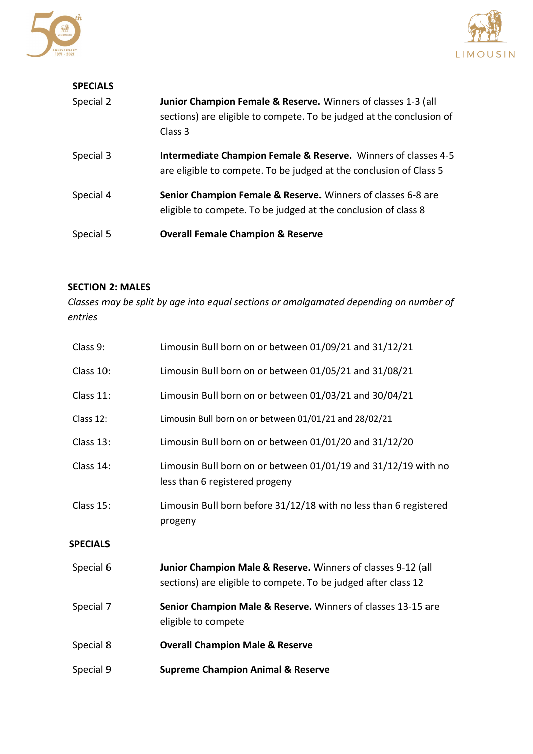



| <b>SPECIALS</b> |                                                                                                                                                  |
|-----------------|--------------------------------------------------------------------------------------------------------------------------------------------------|
| Special 2       | Junior Champion Female & Reserve. Winners of classes 1-3 (all<br>sections) are eligible to compete. To be judged at the conclusion of<br>Class 3 |
| Special 3       | Intermediate Champion Female & Reserve. Winners of classes 4-5<br>are eligible to compete. To be judged at the conclusion of Class 5             |
| Special 4       | Senior Champion Female & Reserve. Winners of classes 6-8 are<br>eligible to compete. To be judged at the conclusion of class 8                   |
| Special 5       | <b>Overall Female Champion &amp; Reserve</b>                                                                                                     |

## **SECTION 2: MALES**

*Classes may be split by age into equal sections or amalgamated depending on number of entries*

| Class 9:        | Limousin Bull born on or between 01/09/21 and 31/12/21                                                                         |
|-----------------|--------------------------------------------------------------------------------------------------------------------------------|
| Class 10:       | Limousin Bull born on or between 01/05/21 and 31/08/21                                                                         |
| Class 11:       | Limousin Bull born on or between 01/03/21 and 30/04/21                                                                         |
| Class 12:       | Limousin Bull born on or between 01/01/21 and 28/02/21                                                                         |
| Class 13:       | Limousin Bull born on or between 01/01/20 and 31/12/20                                                                         |
| Class 14:       | Limousin Bull born on or between 01/01/19 and 31/12/19 with no<br>less than 6 registered progeny                               |
| Class 15:       | Limousin Bull born before 31/12/18 with no less than 6 registered<br>progeny                                                   |
| <b>SPECIALS</b> |                                                                                                                                |
| Special 6       | Junior Champion Male & Reserve. Winners of classes 9-12 (all<br>sections) are eligible to compete. To be judged after class 12 |
| Special 7       | Senior Champion Male & Reserve. Winners of classes 13-15 are<br>eligible to compete                                            |
| Special 8       | <b>Overall Champion Male &amp; Reserve</b>                                                                                     |
| Special 9       | <b>Supreme Champion Animal &amp; Reserve</b>                                                                                   |